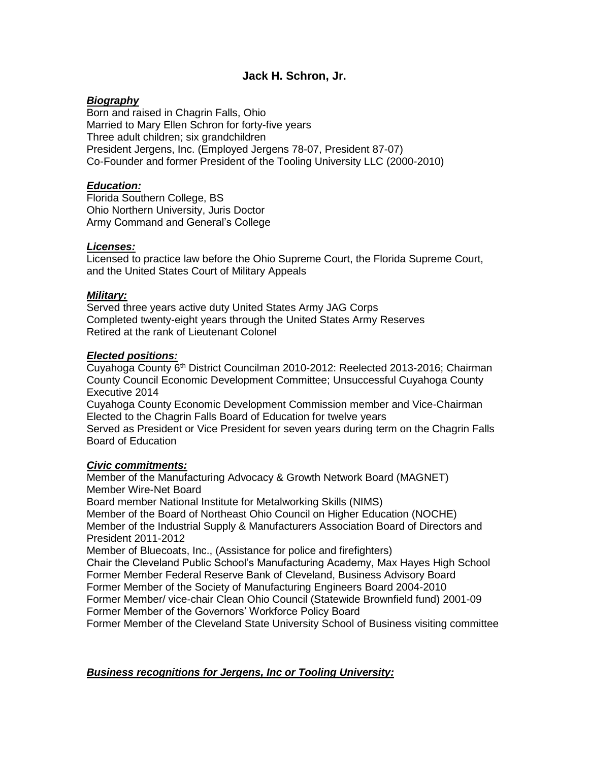# **Jack H. Schron, Jr.**

## *Biography*

Born and raised in Chagrin Falls, Ohio Married to Mary Ellen Schron for forty-five years Three adult children; six grandchildren President Jergens, Inc. (Employed Jergens 78-07, President 87-07) Co-Founder and former President of the Tooling University LLC (2000-2010)

## *Education:*

Florida Southern College, BS Ohio Northern University, Juris Doctor Army Command and General's College

## *Licenses:*

Licensed to practice law before the Ohio Supreme Court, the Florida Supreme Court, and the United States Court of Military Appeals

## *Military:*

Served three years active duty United States Army JAG Corps Completed twenty-eight years through the United States Army Reserves Retired at the rank of Lieutenant Colonel

## *Elected positions:*

Cuyahoga County 6<sup>th</sup> District Councilman 2010-2012: Reelected 2013-2016; Chairman County Council Economic Development Committee; Unsuccessful Cuyahoga County Executive 2014

Cuyahoga County Economic Development Commission member and Vice-Chairman Elected to the Chagrin Falls Board of Education for twelve years

Served as President or Vice President for seven years during term on the Chagrin Falls Board of Education

#### *Civic commitments:*

Member of the Manufacturing Advocacy & Growth Network Board (MAGNET) Member Wire-Net Board Board member National Institute for Metalworking Skills (NIMS) Member of the Board of Northeast Ohio Council on Higher Education (NOCHE) Member of the Industrial Supply & Manufacturers Association Board of Directors and President 2011-2012 Member of Bluecoats, Inc., (Assistance for police and firefighters)

Chair the Cleveland Public School's Manufacturing Academy, Max Hayes High School Former Member Federal Reserve Bank of Cleveland, Business Advisory Board Former Member of the Society of Manufacturing Engineers Board 2004-2010 Former Member/ vice-chair Clean Ohio Council (Statewide Brownfield fund) 2001-09 Former Member of the Governors' Workforce Policy Board

Former Member of the Cleveland State University School of Business visiting committee

#### *Business recognitions for Jergens, Inc or Tooling University:*